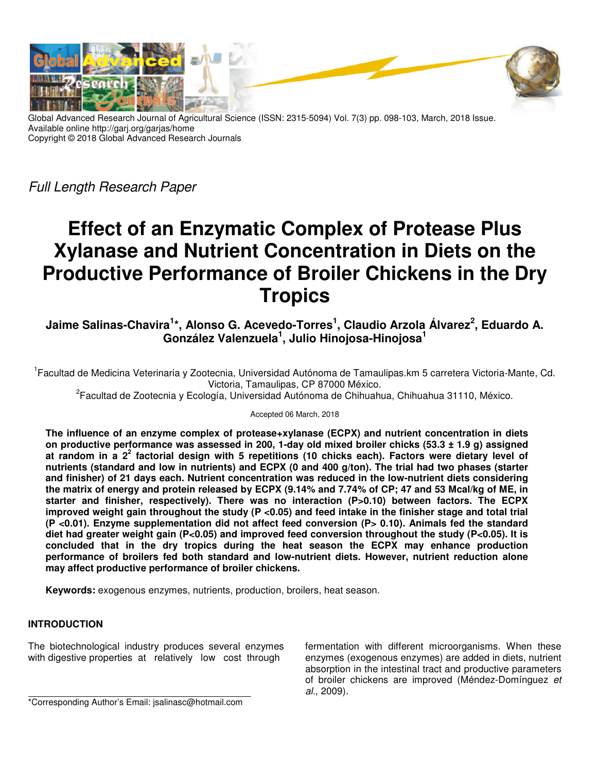

Global Advanced Research Journal of Agricultural Science (ISSN: 2315-5094) Vol. 7(3) pp. 098-103, March, 2018 Issue. Available online http://garj.org/garjas/home Copyright © 2018 Global Advanced Research Journals

Full Length Research Paper

# **Effect of an Enzymatic Complex of Protease Plus Xylanase and Nutrient Concentration in Diets on the Productive Performance of Broiler Chickens in the Dry Tropics**

**Jaime Salinas-Chavira<sup>1</sup> \*, Alonso G. Acevedo-Torres<sup>1</sup> , Claudio Arzola Álvarez<sup>2</sup> , Eduardo A. González Valenzuela<sup>1</sup> , Julio Hinojosa-Hinojosa<sup>1</sup>**

<sup>1</sup>Facultad de Medicina Veterinaria y Zootecnia, Universidad Autónoma de Tamaulipas.km 5 carretera Victoria-Mante, Cd. Victoria, Tamaulipas, CP 87000 México.

<sup>2</sup>Facultad de Zootecnia y Ecología, Universidad Autónoma de Chihuahua, Chihuahua 31110, México.

### Accepted 06 March, 2018

**The influence of an enzyme complex of protease+xylanase (ECPX) and nutrient concentration in diets on productive performance was assessed in 200, 1-day old mixed broiler chicks (53.3 ± 1.9 g) assigned at random in a 2<sup>2</sup> factorial design with 5 repetitions (10 chicks each). Factors were dietary level of nutrients (standard and low in nutrients) and ECPX (0 and 400 g/ton). The trial had two phases (starter and finisher) of 21 days each. Nutrient concentration was reduced in the low-nutrient diets considering the matrix of energy and protein released by ECPX (9.14% and 7.74% of CP; 47 and 53 Mcal/kg of ME, in**  starter and finisher, respectively). There was no interaction (P>0.10) between factors. The ECPX **improved weight gain throughout the study (P <0.05) and feed intake in the finisher stage and total trial (P <0.01). Enzyme supplementation did not affect feed conversion (P> 0.10). Animals fed the standard diet had greater weight gain (P<0.05) and improved feed conversion throughout the study (P<0.05). It is concluded that in the dry tropics during the heat season the ECPX may enhance production performance of broilers fed both standard and low-nutrient diets. However, nutrient reduction alone may affect productive performance of broiler chickens.** 

**Keywords:** exogenous enzymes, nutrients, production, broilers, heat season.

# **INTRODUCTION**

The biotechnological industry produces several enzymes with digestive properties at relatively low cost through

fermentation with different microorganisms. When these enzymes (exogenous enzymes) are added in diets, nutrient absorption in the intestinal tract and productive parameters of broiler chickens are improved (Méndez-Domínguez et al., 2009).

\*Corresponding Author's Email: jsalinasc@hotmail.com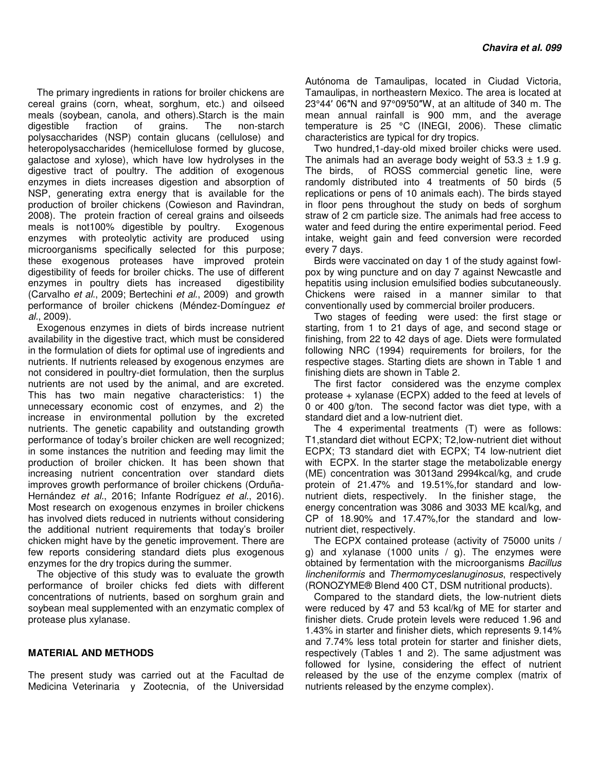The primary ingredients in rations for broiler chickens are cereal grains (corn, wheat, sorghum, etc.) and oilseed meals (soybean, canola, and others).Starch is the main digestible fraction of grains. The non-starch polysaccharides (NSP) contain glucans (cellulose) and heteropolysaccharides (hemicellulose formed by glucose, galactose and xylose), which have low hydrolyses in the digestive tract of poultry. The addition of exogenous enzymes in diets increases digestion and absorption of NSP, generating extra energy that is available for the production of broiler chickens (Cowieson and Ravindran, 2008). The protein fraction of cereal grains and oilseeds meals is not100% digestible by poultry. Exogenous enzymes with proteolytic activity are produced using microorganisms specifically selected for this purpose; these exogenous proteases have improved protein digestibility of feeds for broiler chicks. The use of different enzymes in poultry diets has increased digestibility (Carvalho et al., 2009; Bertechini et al., 2009) and growth performance of broiler chickens (Méndez-Domínguez et al., 2009).

Exogenous enzymes in diets of birds increase nutrient availability in the digestive tract, which must be considered in the formulation of diets for optimal use of ingredients and nutrients. If nutrients released by exogenous enzymes are not considered in poultry-diet formulation, then the surplus nutrients are not used by the animal, and are excreted. This has two main negative characteristics: 1) the unnecessary economic cost of enzymes, and 2) the increase in environmental pollution by the excreted nutrients. The genetic capability and outstanding growth performance of today's broiler chicken are well recognized; in some instances the nutrition and feeding may limit the production of broiler chicken. It has been shown that increasing nutrient concentration over standard diets improves growth performance of broiler chickens (Orduña-Hernández et al., 2016; Infante Rodríguez et al., 2016). Most research on exogenous enzymes in broiler chickens has involved diets reduced in nutrients without considering the additional nutrient requirements that today's broiler chicken might have by the genetic improvement. There are few reports considering standard diets plus exogenous enzymes for the dry tropics during the summer.

The objective of this study was to evaluate the growth performance of broiler chicks fed diets with different concentrations of nutrients, based on sorghum grain and soybean meal supplemented with an enzymatic complex of protease plus xylanase.

### **MATERIAL AND METHODS**

The present study was carried out at the Facultad de Medicina Veterinaria y Zootecnia, of the Universidad Autónoma de Tamaulipas, located in Ciudad Victoria, Tamaulipas, in northeastern Mexico. The area is located at 23°44′ 06″N and 97°09′50″W, at an altitude of 340 m. The mean annual rainfall is 900 mm, and the average temperature is 25 °C (INEGI, 2006). These climatic characteristics are typical for dry tropics.

Two hundred,1-day-old mixed broiler chicks were used. The animals had an average body weight of  $53.3 \pm 1.9$  g. The birds, of ROSS commercial genetic line, were randomly distributed into 4 treatments of 50 birds (5 replications or pens of 10 animals each). The birds stayed in floor pens throughout the study on beds of sorghum straw of 2 cm particle size. The animals had free access to water and feed during the entire experimental period. Feed intake, weight gain and feed conversion were recorded every 7 days.

Birds were vaccinated on day 1 of the study against fowlpox by wing puncture and on day 7 against Newcastle and hepatitis using inclusion emulsified bodies subcutaneously. Chickens were raised in a manner similar to that conventionally used by commercial broiler producers.

Two stages of feeding were used: the first stage or starting, from 1 to 21 days of age, and second stage or finishing, from 22 to 42 days of age. Diets were formulated following NRC (1994) requirements for broilers, for the respective stages. Starting diets are shown in Table 1 and finishing diets are shown in Table 2.

The first factor considered was the enzyme complex protease + xylanase (ECPX) added to the feed at levels of 0 or 400 g/ton. The second factor was diet type, with a standard diet and a low-nutrient diet.

The 4 experimental treatments (T) were as follows: T1,standard diet without ECPX; T2,low-nutrient diet without ECPX; T3 standard diet with ECPX; T4 low-nutrient diet with ECPX. In the starter stage the metabolizable energy (ME) concentration was 3013and 2994kcal/kg, and crude protein of 21.47% and 19.51%,for standard and lownutrient diets, respectively. In the finisher stage, the energy concentration was 3086 and 3033 ME kcal/kg, and CP of 18.90% and 17.47%,for the standard and lownutrient diet, respectively.

The ECPX contained protease (activity of 75000 units / g) and xylanase (1000 units  $/$  g). The enzymes were obtained by fermentation with the microorganisms Bacillus lincheniformis and Thermomyceslanuginosus, respectively (RONOZYME® Blend 400 CT, DSM nutritional products).

Compared to the standard diets, the low-nutrient diets were reduced by 47 and 53 kcal/kg of ME for starter and finisher diets. Crude protein levels were reduced 1.96 and 1.43% in starter and finisher diets, which represents 9.14% and 7.74% less total protein for starter and finisher diets, respectively (Tables 1 and 2). The same adjustment was followed for lysine, considering the effect of nutrient released by the use of the enzyme complex (matrix of nutrients released by the enzyme complex).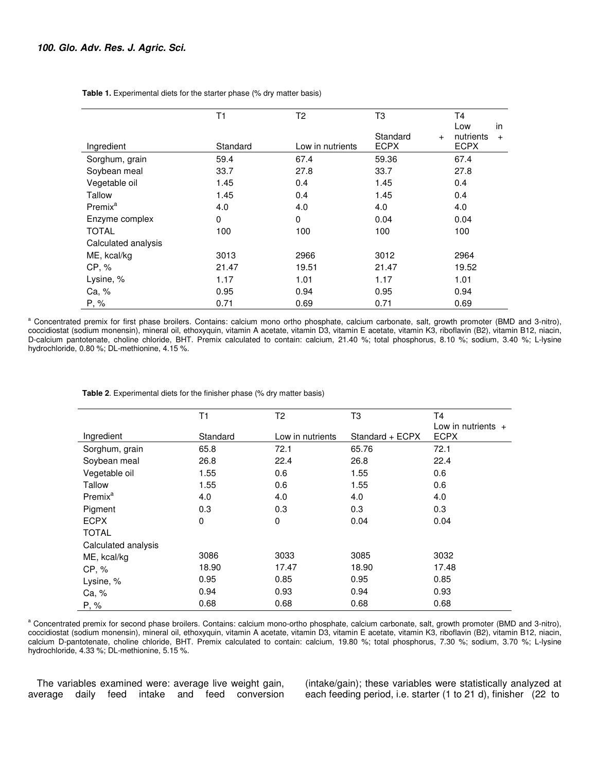|                     | T1       | T <sub>2</sub>   | T3                 | T4<br>in<br>Low  |
|---------------------|----------|------------------|--------------------|------------------|
|                     |          |                  | Standard<br>$^{+}$ | nutrients<br>$+$ |
| Ingredient          | Standard | Low in nutrients | <b>ECPX</b>        | <b>ECPX</b>      |
| Sorghum, grain      | 59.4     | 67.4             | 59.36              | 67.4             |
| Soybean meal        | 33.7     | 27.8             | 33.7               | 27.8             |
| Vegetable oil       | 1.45     | 0.4              | 1.45               | 0.4              |
| Tallow              | 1.45     | 0.4              | 1.45               | 0.4              |
| Premix <sup>a</sup> | 4.0      | 4.0              | 4.0                | 4.0              |
| Enzyme complex      | 0        | 0                | 0.04               | 0.04             |
| <b>TOTAL</b>        | 100      | 100              | 100                | 100              |
| Calculated analysis |          |                  |                    |                  |
| ME, kcal/kg         | 3013     | 2966             | 3012               | 2964             |
| CP, %               | 21.47    | 19.51            | 21.47              | 19.52            |
| Lysine, %           | 1.17     | 1.01             | 1.17               | 1.01             |
| Ca, %               | 0.95     | 0.94             | 0.95               | 0.94             |
| P, %                | 0.71     | 0.69             | 0.71               | 0.69             |

 **Table 1.** Experimental diets for the starter phase (% dry matter basis)

<sup>a</sup> Concentrated premix for first phase broilers. Contains: calcium mono ortho phosphate, calcium carbonate, salt, growth promoter (BMD and 3-nitro), coccidiostat (sodium monensin), mineral oil, ethoxyquin, vitamin A acetate, vitamin D3, vitamin E acetate, vitamin K3, riboflavin (B2), vitamin B12, niacin, D-calcium pantotenate, choline chloride, BHT. Premix calculated to contain: calcium, 21.40 %; total phosphorus, 8.10 %; sodium, 3.40 %; L-lysine hydrochloride, 0.80 %; DL-methionine, 4.15 %.

|                     | T1       | T2               | T3              | T4                   |
|---------------------|----------|------------------|-----------------|----------------------|
|                     |          |                  |                 | Low in nutrients $+$ |
| Ingredient          | Standard | Low in nutrients | Standard + ECPX | <b>ECPX</b>          |
| Sorghum, grain      | 65.8     | 72.1             | 65.76           | 72.1                 |
| Soybean meal        | 26.8     | 22.4             | 26.8            | 22.4                 |
| Vegetable oil       | 1.55     | 0.6              | 1.55            | 0.6                  |
| Tallow              | 1.55     | 0.6              | 1.55            | 0.6                  |
| Premix <sup>a</sup> | 4.0      | 4.0              | 4.0             | 4.0                  |
| Pigment             | 0.3      | 0.3              | 0.3             | 0.3                  |
| <b>ECPX</b>         | 0        | 0                | 0.04            | 0.04                 |
| <b>TOTAL</b>        |          |                  |                 |                      |
| Calculated analysis |          |                  |                 |                      |
| ME, kcal/kg         | 3086     | 3033             | 3085            | 3032                 |
| CP, %               | 18.90    | 17.47            | 18.90           | 17.48                |
| Lysine, %           | 0.95     | 0.85             | 0.95            | 0.85                 |
| Ca, %               | 0.94     | 0.93             | 0.94            | 0.93                 |
| P, %                | 0.68     | 0.68             | 0.68            | 0.68                 |

 **Table 2**. Experimental diets for the finisher phase (% dry matter basis)

<sup>a</sup> Concentrated premix for second phase broilers. Contains: calcium mono-ortho phosphate, calcium carbonate, salt, growth promoter (BMD and 3-nitro), coccidiostat (sodium monensin), mineral oil, ethoxyquin, vitamin A acetate, vitamin D3, vitamin E acetate, vitamin K3, riboflavin (B2), vitamin B12, niacin, calcium D-pantotenate, choline chloride, BHT. Premix calculated to contain: calcium, 19.80 %; total phosphorus, 7.30 %; sodium, 3.70 %; L-lysine hydrochloride, 4.33 %; DL-methionine, 5.15 %.

The variables examined were: average live weight gain, average daily feed intake and feed conversion (intake/gain); these variables were statistically analyzed at each feeding period, i.e. starter (1 to 21 d), finisher (22 to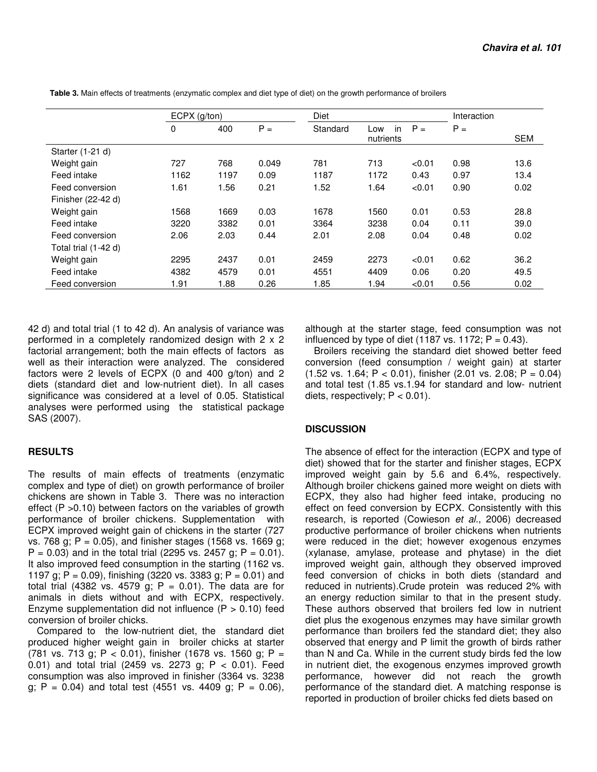|                      | $ECPX$ (g/ton) |      | <b>Diet</b> |          |           | Interaction |       |            |
|----------------------|----------------|------|-------------|----------|-----------|-------------|-------|------------|
|                      | 0              | 400  | $P =$       | Standard | in<br>Low | $P =$       | $P =$ |            |
|                      |                |      |             |          | nutrients |             |       | <b>SEM</b> |
| Starter (1-21 d)     |                |      |             |          |           |             |       |            |
| Weight gain          | 727            | 768  | 0.049       | 781      | 713       | < 0.01      | 0.98  | 13.6       |
| Feed intake          | 1162           | 1197 | 0.09        | 1187     | 1172      | 0.43        | 0.97  | 13.4       |
| Feed conversion      | 1.61           | 1.56 | 0.21        | 1.52     | 1.64      | < 0.01      | 0.90  | 0.02       |
| Finisher (22-42 d)   |                |      |             |          |           |             |       |            |
| Weight gain          | 1568           | 1669 | 0.03        | 1678     | 1560      | 0.01        | 0.53  | 28.8       |
| Feed intake          | 3220           | 3382 | 0.01        | 3364     | 3238      | 0.04        | 0.11  | 39.0       |
| Feed conversion      | 2.06           | 2.03 | 0.44        | 2.01     | 2.08      | 0.04        | 0.48  | 0.02       |
| Total trial (1-42 d) |                |      |             |          |           |             |       |            |
| Weight gain          | 2295           | 2437 | 0.01        | 2459     | 2273      | < 0.01      | 0.62  | 36.2       |
| Feed intake          | 4382           | 4579 | 0.01        | 4551     | 4409      | 0.06        | 0.20  | 49.5       |
| Feed conversion      | 1.91           | 1.88 | 0.26        | 1.85     | 1.94      | < 0.01      | 0.56  | 0.02       |

 **Table 3.** Main effects of treatments (enzymatic complex and diet type of diet) on the growth performance of broilers

42 d) and total trial (1 to 42 d). An analysis of variance was performed in a completely randomized design with 2 x 2 factorial arrangement; both the main effects of factors as well as their interaction were analyzed. The considered factors were 2 levels of ECPX (0 and 400 g/ton) and 2 diets (standard diet and low-nutrient diet). In all cases significance was considered at a level of 0.05. Statistical analyses were performed using the statistical package SAS (2007).

### **RESULTS**

The results of main effects of treatments (enzymatic complex and type of diet) on growth performance of broiler chickens are shown in Table 3. There was no interaction effect (P >0.10) between factors on the variables of growth performance of broiler chickens. Supplementation with ECPX improved weight gain of chickens in the starter (727 vs. 768 g;  $P = 0.05$ , and finisher stages (1568 vs. 1669 g;  $P = 0.03$ ) and in the total trial (2295 vs. 2457 g; P = 0.01). It also improved feed consumption in the starting (1162 vs. 1197 g; P = 0.09), finishing (3220 vs. 3383 g; P = 0.01) and total trial (4382 vs. 4579 g;  $P = 0.01$ ). The data are for animals in diets without and with ECPX, respectively. Enzyme supplementation did not influence  $(P > 0.10)$  feed conversion of broiler chicks.

Compared to the low-nutrient diet, the standard diet produced higher weight gain in broiler chicks at starter (781 vs. 713 g; P < 0.01), finisher (1678 vs. 1560 g; P = 0.01) and total trial (2459 vs. 2273 g; P < 0.01). Feed consumption was also improved in finisher (3364 vs. 3238 g;  $P = 0.04$ ) and total test (4551 vs. 4409 g;  $P = 0.06$ ),

although at the starter stage, feed consumption was not influenced by type of diet (1187 vs. 1172;  $P = 0.43$ ).

Broilers receiving the standard diet showed better feed conversion (feed consumption / weight gain) at starter  $(1.52 \text{ vs. } 1.64; \text{ P} < 0.01)$ , finisher  $(2.01 \text{ vs. } 2.08; \text{ P} = 0.04)$ and total test (1.85 vs.1.94 for standard and low- nutrient diets, respectively;  $P < 0.01$ ).

## **DISCUSSION**

The absence of effect for the interaction (ECPX and type of diet) showed that for the starter and finisher stages, ECPX improved weight gain by 5.6 and 6.4%, respectively. Although broiler chickens gained more weight on diets with ECPX, they also had higher feed intake, producing no effect on feed conversion by ECPX. Consistently with this research, is reported (Cowieson et al., 2006) decreased productive performance of broiler chickens when nutrients were reduced in the diet; however exogenous enzymes (xylanase, amylase, protease and phytase) in the diet improved weight gain, although they observed improved feed conversion of chicks in both diets (standard and reduced in nutrients).Crude protein was reduced 2% with an energy reduction similar to that in the present study. These authors observed that broilers fed low in nutrient diet plus the exogenous enzymes may have similar growth performance than broilers fed the standard diet; they also observed that energy and P limit the growth of birds rather than N and Ca. While in the current study birds fed the low in nutrient diet, the exogenous enzymes improved growth performance, however did not reach the growth performance of the standard diet. A matching response is reported in production of broiler chicks fed diets based on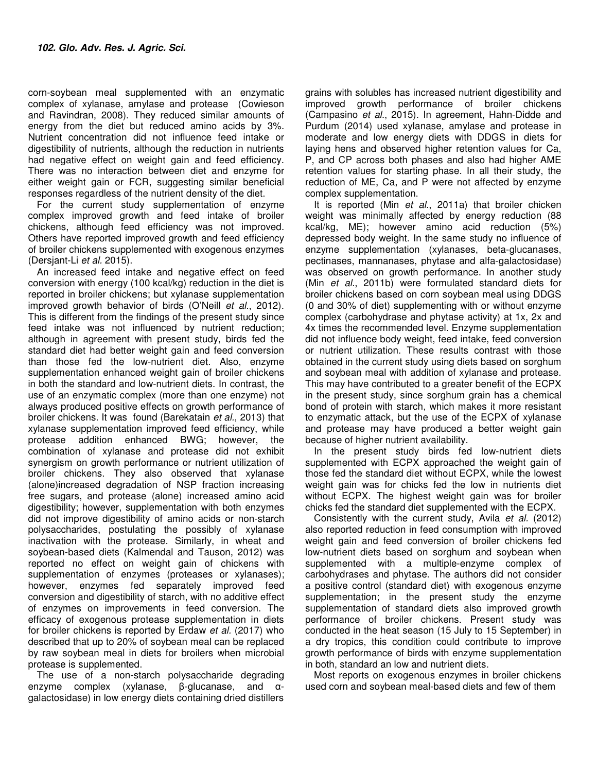corn-soybean meal supplemented with an enzymatic complex of xylanase, amylase and protease (Cowieson and Ravindran, 2008). They reduced similar amounts of energy from the diet but reduced amino acids by 3%. Nutrient concentration did not influence feed intake or digestibility of nutrients, although the reduction in nutrients had negative effect on weight gain and feed efficiency. There was no interaction between diet and enzyme for either weight gain or FCR, suggesting similar beneficial responses regardless of the nutrient density of the diet.

For the current study supplementation of enzyme complex improved growth and feed intake of broiler chickens, although feed efficiency was not improved. Others have reported improved growth and feed efficiency of broiler chickens supplemented with exogenous enzymes (Dersjant-Li et al. 2015).

An increased feed intake and negative effect on feed conversion with energy (100 kcal/kg) reduction in the diet is reported in broiler chickens; but xylanase supplementation improved growth behavior of birds (O'Neill et al., 2012). This is different from the findings of the present study since feed intake was not influenced by nutrient reduction; although in agreement with present study, birds fed the standard diet had better weight gain and feed conversion than those fed the low-nutrient diet. Also, enzyme supplementation enhanced weight gain of broiler chickens in both the standard and low-nutrient diets. In contrast, the use of an enzymatic complex (more than one enzyme) not always produced positive effects on growth performance of broiler chickens. It was found (Barekatain et al., 2013) that xylanase supplementation improved feed efficiency, while protease addition enhanced BWG; however, the combination of xylanase and protease did not exhibit synergism on growth performance or nutrient utilization of broiler chickens. They also observed that xylanase (alone)increased degradation of NSP fraction increasing free sugars, and protease (alone) increased amino acid digestibility; however, supplementation with both enzymes did not improve digestibility of amino acids or non-starch polysaccharides, postulating the possibly of xylanase inactivation with the protease. Similarly, in wheat and soybean-based diets (Kalmendal and Tauson, 2012) was reported no effect on weight gain of chickens with supplementation of enzymes (proteases or xylanases); however, enzymes fed separately improved feed conversion and digestibility of starch, with no additive effect of enzymes on improvements in feed conversion. The efficacy of exogenous protease supplementation in diets for broiler chickens is reported by Erdaw et al. (2017) who described that up to 20% of soybean meal can be replaced by raw soybean meal in diets for broilers when microbial protease is supplemented.

The use of a non-starch polysaccharide degrading enzyme complex (xylanase, β-glucanase, and αgalactosidase) in low energy diets containing dried distillers grains with solubles has increased nutrient digestibility and improved growth performance of broiler chickens (Campasino et al., 2015). In agreement, Hahn-Didde and Purdum (2014) used xylanase, amylase and protease in moderate and low energy diets with DDGS in diets for laying hens and observed higher retention values for Ca, P, and CP across both phases and also had higher AME retention values for starting phase. In all their study, the reduction of ME, Ca, and P were not affected by enzyme complex supplementation.

It is reported (Min et al., 2011a) that broiler chicken weight was minimally affected by energy reduction (88 kcal/kg, ME); however amino acid reduction (5%) depressed body weight. In the same study no influence of enzyme supplementation (xylanases, beta-glucanases, pectinases, mannanases, phytase and alfa-galactosidase) was observed on growth performance. In another study (Min et al., 2011b) were formulated standard diets for broiler chickens based on corn soybean meal using DDGS (0 and 30% of diet) supplementing with or without enzyme complex (carbohydrase and phytase activity) at 1x, 2x and 4x times the recommended level. Enzyme supplementation did not influence body weight, feed intake, feed conversion or nutrient utilization. These results contrast with those obtained in the current study using diets based on sorghum and soybean meal with addition of xylanase and protease. This may have contributed to a greater benefit of the ECPX in the present study, since sorghum grain has a chemical bond of protein with starch, which makes it more resistant to enzymatic attack, but the use of the ECPX of xylanase and protease may have produced a better weight gain because of higher nutrient availability.

In the present study birds fed low-nutrient diets supplemented with ECPX approached the weight gain of those fed the standard diet without ECPX, while the lowest weight gain was for chicks fed the low in nutrients diet without ECPX. The highest weight gain was for broiler chicks fed the standard diet supplemented with the ECPX.

Consistently with the current study, Avila et al. (2012) also reported reduction in feed consumption with improved weight gain and feed conversion of broiler chickens fed low-nutrient diets based on sorghum and soybean when supplemented with a multiple-enzyme complex of carbohydrases and phytase. The authors did not consider a positive control (standard diet) with exogenous enzyme supplementation; in the present study the enzyme supplementation of standard diets also improved growth performance of broiler chickens. Present study was conducted in the heat season (15 July to 15 September) in a dry tropics, this condition could contribute to improve growth performance of birds with enzyme supplementation in both, standard an low and nutrient diets.

Most reports on exogenous enzymes in broiler chickens used corn and soybean meal-based diets and few of them